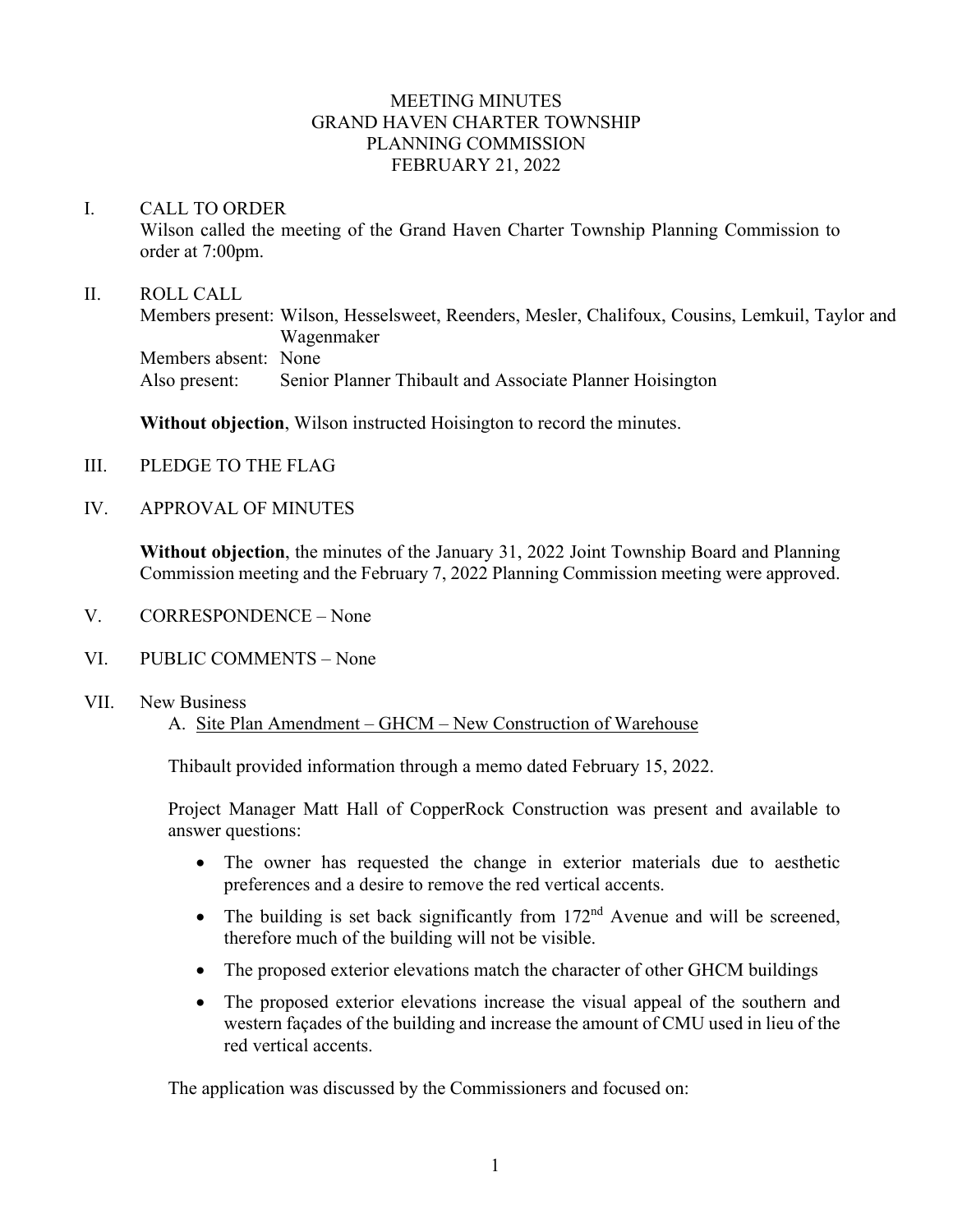## MEETING MINUTES GRAND HAVEN CHARTER TOWNSHIP PLANNING COMMISSION FEBRUARY 21, 2022

#### I. CALL TO ORDER

Wilson called the meeting of the Grand Haven Charter Township Planning Commission to order at 7:00pm.

#### II. ROLL CALL

Members present: Wilson, Hesselsweet, Reenders, Mesler, Chalifoux, Cousins, Lemkuil, Taylor and Wagenmaker Members absent: None Also present: Senior Planner Thibault and Associate Planner Hoisington

**Without objection**, Wilson instructed Hoisington to record the minutes.

- III. PLEDGE TO THE FLAG
- IV. APPROVAL OF MINUTES

**Without objection**, the minutes of the January 31, 2022 Joint Township Board and Planning Commission meeting and the February 7, 2022 Planning Commission meeting were approved.

- V. CORRESPONDENCE None
- VI. PUBLIC COMMENTS None
- VII. New Business

A. Site Plan Amendment – GHCM – New Construction of Warehouse

Thibault provided information through a memo dated February 15, 2022.

Project Manager Matt Hall of CopperRock Construction was present and available to answer questions:

- The owner has requested the change in exterior materials due to aesthetic preferences and a desire to remove the red vertical accents.
- The building is set back significantly from  $172<sup>nd</sup>$  Avenue and will be screened, therefore much of the building will not be visible.
- The proposed exterior elevations match the character of other GHCM buildings
- The proposed exterior elevations increase the visual appeal of the southern and western façades of the building and increase the amount of CMU used in lieu of the red vertical accents.

The application was discussed by the Commissioners and focused on: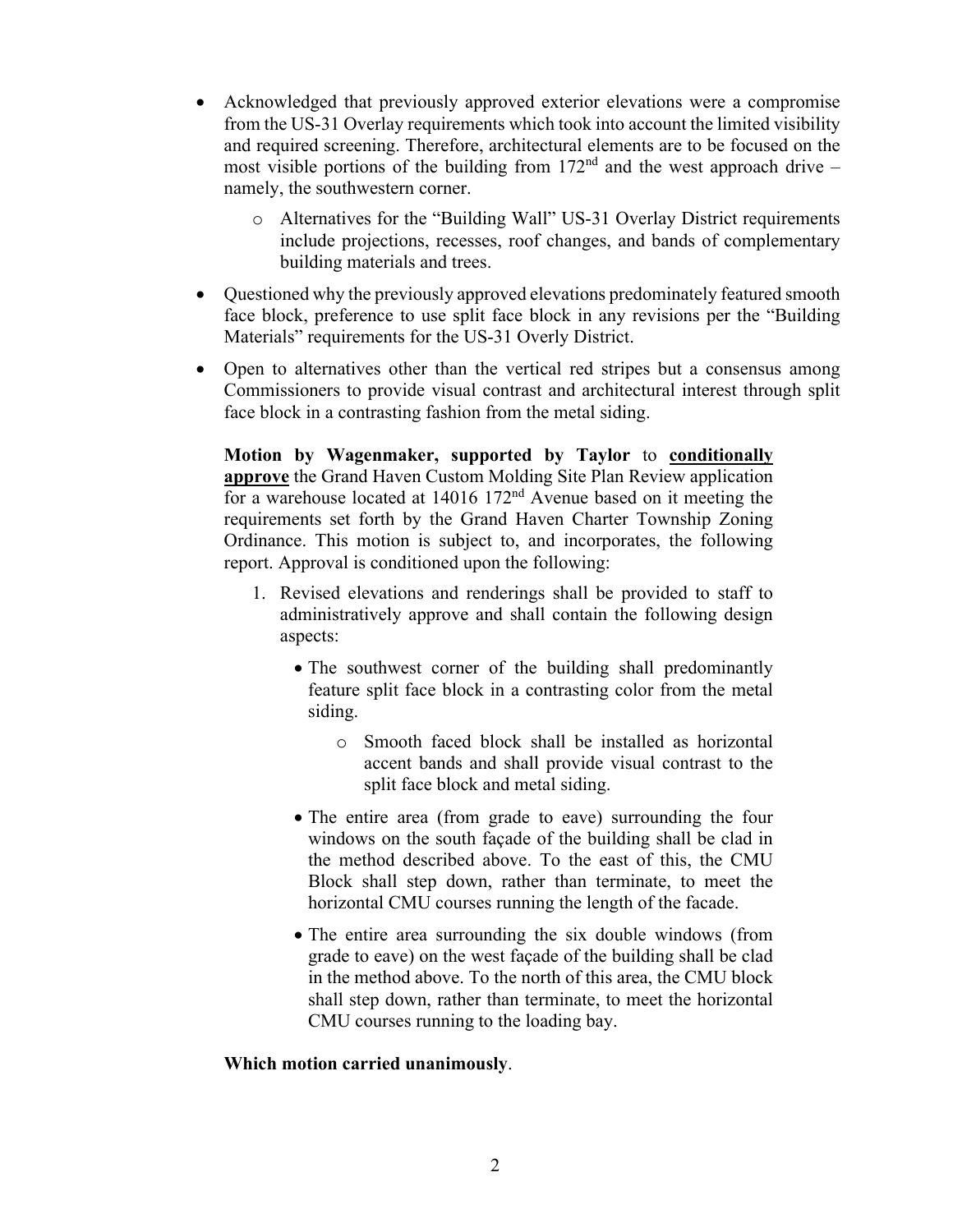- Acknowledged that previously approved exterior elevations were a compromise from the US-31 Overlay requirements which took into account the limited visibility and required screening. Therefore, architectural elements are to be focused on the most visible portions of the building from  $172<sup>nd</sup>$  and the west approach drive – namely, the southwestern corner.
	- o Alternatives for the "Building Wall" US-31 Overlay District requirements include projections, recesses, roof changes, and bands of complementary building materials and trees.
- Questioned why the previously approved elevations predominately featured smooth face block, preference to use split face block in any revisions per the "Building Materials" requirements for the US-31 Overly District.
- Open to alternatives other than the vertical red stripes but a consensus among Commissioners to provide visual contrast and architectural interest through split face block in a contrasting fashion from the metal siding.

**Motion by Wagenmaker, supported by Taylor** to **conditionally approve** the Grand Haven Custom Molding Site Plan Review application for a warehouse located at 14016 172nd Avenue based on it meeting the requirements set forth by the Grand Haven Charter Township Zoning Ordinance. This motion is subject to, and incorporates, the following report. Approval is conditioned upon the following:

- 1. Revised elevations and renderings shall be provided to staff to administratively approve and shall contain the following design aspects:
	- The southwest corner of the building shall predominantly feature split face block in a contrasting color from the metal siding.
		- o Smooth faced block shall be installed as horizontal accent bands and shall provide visual contrast to the split face block and metal siding.
	- The entire area (from grade to eave) surrounding the four windows on the south façade of the building shall be clad in the method described above. To the east of this, the CMU Block shall step down, rather than terminate, to meet the horizontal CMU courses running the length of the facade.
	- The entire area surrounding the six double windows (from grade to eave) on the west façade of the building shall be clad in the method above. To the north of this area, the CMU block shall step down, rather than terminate, to meet the horizontal CMU courses running to the loading bay.

## **Which motion carried unanimously**.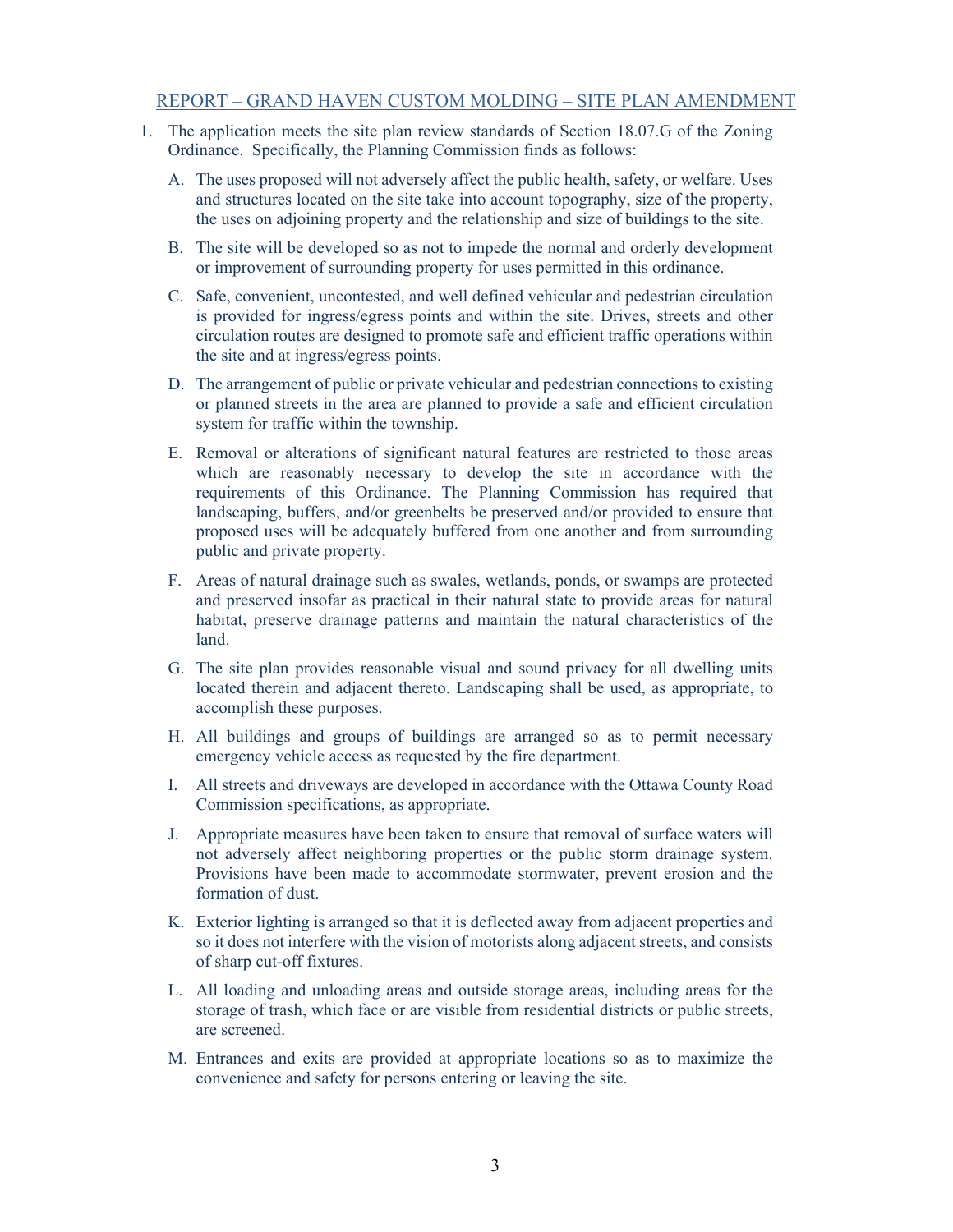#### REPORT – GRAND HAVEN CUSTOM MOLDING – SITE PLAN AMENDMENT

- 1. The application meets the site plan review standards of Section 18.07.G of the Zoning Ordinance. Specifically, the Planning Commission finds as follows:
	- A. The uses proposed will not adversely affect the public health, safety, or welfare. Uses and structures located on the site take into account topography, size of the property, the uses on adjoining property and the relationship and size of buildings to the site.
	- B. The site will be developed so as not to impede the normal and orderly development or improvement of surrounding property for uses permitted in this ordinance.
	- C. Safe, convenient, uncontested, and well defined vehicular and pedestrian circulation is provided for ingress/egress points and within the site. Drives, streets and other circulation routes are designed to promote safe and efficient traffic operations within the site and at ingress/egress points.
	- D. The arrangement of public or private vehicular and pedestrian connections to existing or planned streets in the area are planned to provide a safe and efficient circulation system for traffic within the township.
	- E. Removal or alterations of significant natural features are restricted to those areas which are reasonably necessary to develop the site in accordance with the requirements of this Ordinance. The Planning Commission has required that landscaping, buffers, and/or greenbelts be preserved and/or provided to ensure that proposed uses will be adequately buffered from one another and from surrounding public and private property.
	- F. Areas of natural drainage such as swales, wetlands, ponds, or swamps are protected and preserved insofar as practical in their natural state to provide areas for natural habitat, preserve drainage patterns and maintain the natural characteristics of the land.
	- G. The site plan provides reasonable visual and sound privacy for all dwelling units located therein and adjacent thereto. Landscaping shall be used, as appropriate, to accomplish these purposes.
	- H. All buildings and groups of buildings are arranged so as to permit necessary emergency vehicle access as requested by the fire department.
	- I. All streets and driveways are developed in accordance with the Ottawa County Road Commission specifications, as appropriate.
	- J. Appropriate measures have been taken to ensure that removal of surface waters will not adversely affect neighboring properties or the public storm drainage system. Provisions have been made to accommodate stormwater, prevent erosion and the formation of dust.
	- K. Exterior lighting is arranged so that it is deflected away from adjacent properties and so it does not interfere with the vision of motorists along adjacent streets, and consists of sharp cut-off fixtures.
	- L. All loading and unloading areas and outside storage areas, including areas for the storage of trash, which face or are visible from residential districts or public streets, are screened.
	- M. Entrances and exits are provided at appropriate locations so as to maximize the convenience and safety for persons entering or leaving the site.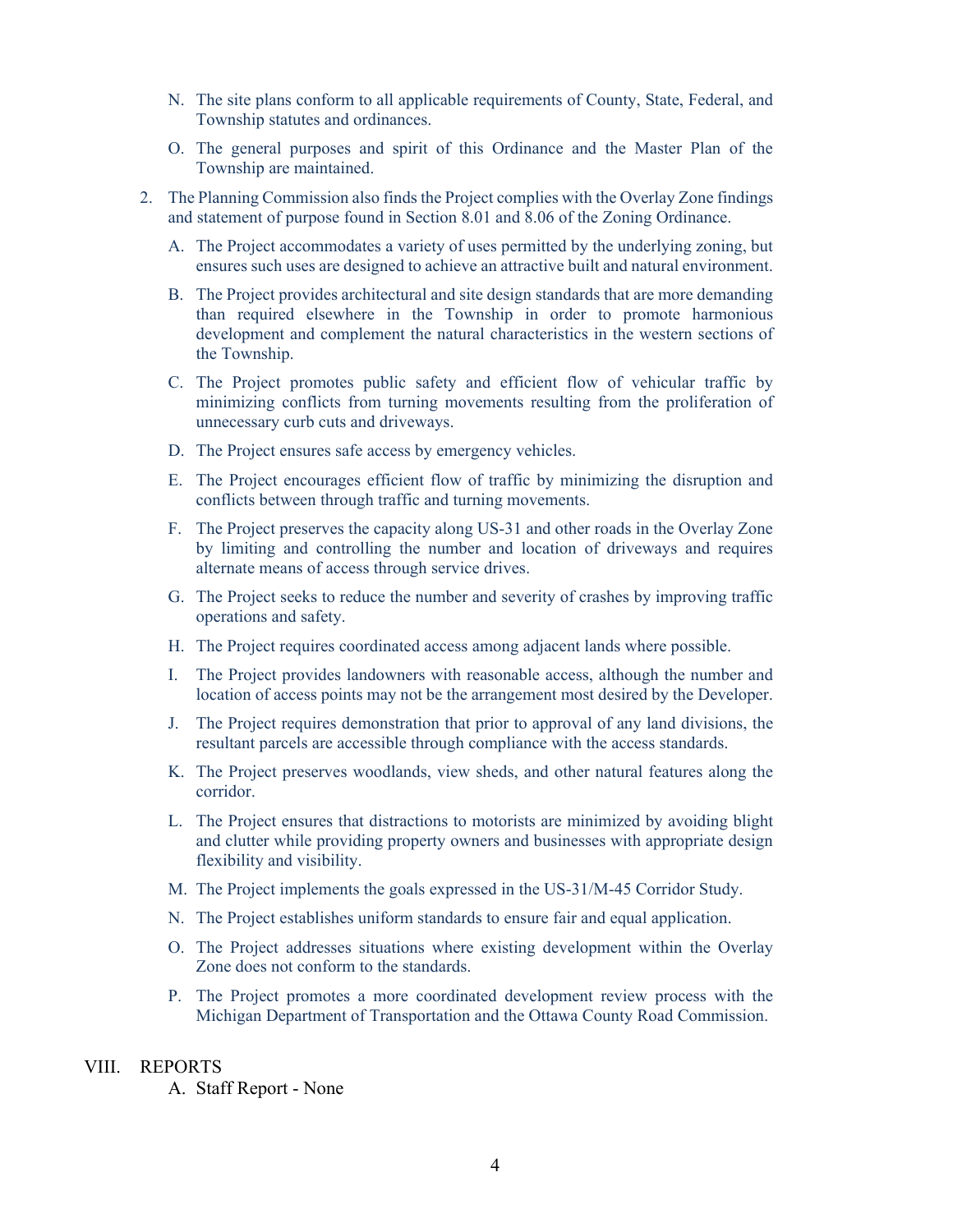- N. The site plans conform to all applicable requirements of County, State, Federal, and Township statutes and ordinances.
- O. The general purposes and spirit of this Ordinance and the Master Plan of the Township are maintained.
- 2. The Planning Commission also finds the Project complies with the Overlay Zone findings and statement of purpose found in Section 8.01 and 8.06 of the Zoning Ordinance.
	- A. The Project accommodates a variety of uses permitted by the underlying zoning, but ensures such uses are designed to achieve an attractive built and natural environment.
	- B. The Project provides architectural and site design standards that are more demanding than required elsewhere in the Township in order to promote harmonious development and complement the natural characteristics in the western sections of the Township.
	- C. The Project promotes public safety and efficient flow of vehicular traffic by minimizing conflicts from turning movements resulting from the proliferation of unnecessary curb cuts and driveways.
	- D. The Project ensures safe access by emergency vehicles.
	- E. The Project encourages efficient flow of traffic by minimizing the disruption and conflicts between through traffic and turning movements.
	- F. The Project preserves the capacity along US-31 and other roads in the Overlay Zone by limiting and controlling the number and location of driveways and requires alternate means of access through service drives.
	- G. The Project seeks to reduce the number and severity of crashes by improving traffic operations and safety.
	- H. The Project requires coordinated access among adjacent lands where possible.
	- I. The Project provides landowners with reasonable access, although the number and location of access points may not be the arrangement most desired by the Developer.
	- J. The Project requires demonstration that prior to approval of any land divisions, the resultant parcels are accessible through compliance with the access standards.
	- K. The Project preserves woodlands, view sheds, and other natural features along the corridor.
	- L. The Project ensures that distractions to motorists are minimized by avoiding blight and clutter while providing property owners and businesses with appropriate design flexibility and visibility.
	- M. The Project implements the goals expressed in the US-31/M-45 Corridor Study.
	- N. The Project establishes uniform standards to ensure fair and equal application.
	- O. The Project addresses situations where existing development within the Overlay Zone does not conform to the standards.
	- P. The Project promotes a more coordinated development review process with the Michigan Department of Transportation and the Ottawa County Road Commission.

#### VIII. REPORTS

A. Staff Report - None